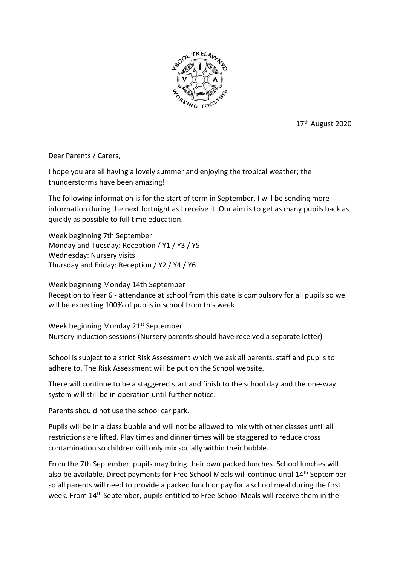

17th August 2020

Dear Parents / Carers,

I hope you are all having a lovely summer and enjoying the tropical weather; the thunderstorms have been amazing!

The following information is for the start of term in September. I will be sending more information during the next fortnight as I receive it. Our aim is to get as many pupils back as quickly as possible to full time education.

Week beginning 7th September Monday and Tuesday: Reception / Y1 / Y3 / Y5 Wednesday: Nursery visits Thursday and Friday: Reception / Y2 / Y4 / Y6

Week beginning Monday 14th September Reception to Year 6 - attendance at school from this date is compulsory for all pupils so we will be expecting 100% of pupils in school from this week

Week beginning Monday 21<sup>st</sup> September Nursery induction sessions (Nursery parents should have received a separate letter)

School is subject to a strict Risk Assessment which we ask all parents, staff and pupils to adhere to. The Risk Assessment will be put on the School website.

There will continue to be a staggered start and finish to the school day and the one-way system will still be in operation until further notice.

Parents should not use the school car park.

Pupils will be in a class bubble and will not be allowed to mix with other classes until all restrictions are lifted. Play times and dinner times will be staggered to reduce cross contamination so children will only mix socially within their bubble.

From the 7th September, pupils may bring their own packed lunches. School lunches will also be available. Direct payments for Free School Meals will continue until 14th September so all parents will need to provide a packed lunch or pay for a school meal during the first week. From 14th September, pupils entitled to Free School Meals will receive them in the